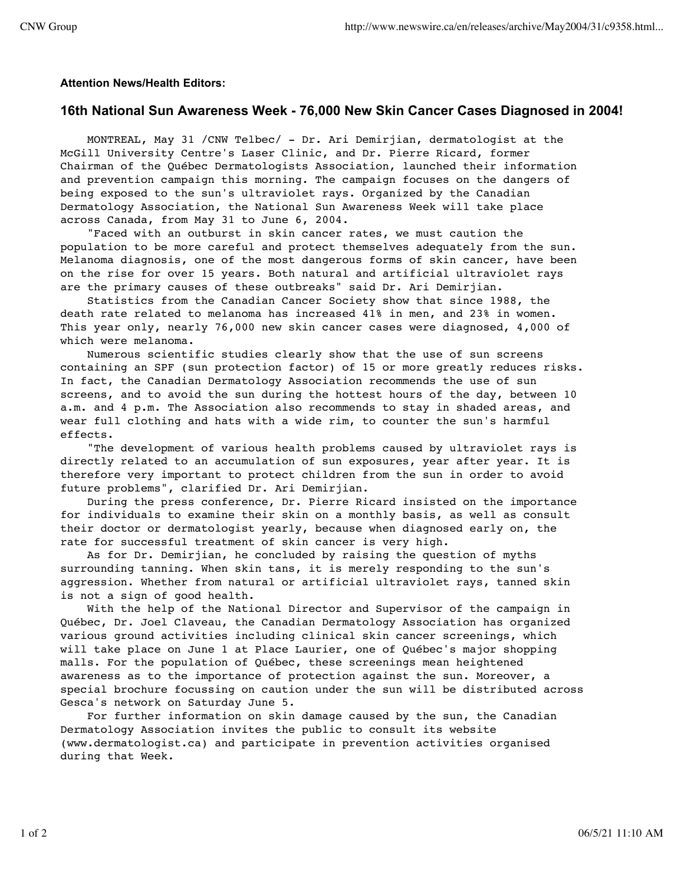## **Attention News/Health Editors:**

## **16th National Sun Awareness Week - 76,000 New Skin Cancer Cases Diagnosed in 2004!**

 MONTREAL, May 31 /CNW Telbec/ - Dr. Ari Demirjian, dermatologist at the McGill University Centre's Laser Clinic, and Dr. Pierre Ricard, former Chairman of the Québec Dermatologists Association, launched their information and prevention campaign this morning. The campaign focuses on the dangers of being exposed to the sun's ultraviolet rays. Organized by the Canadian Dermatology Association, the National Sun Awareness Week will take place across Canada, from May 31 to June 6, 2004.

 "Faced with an outburst in skin cancer rates, we must caution the population to be more careful and protect themselves adequately from the sun. Melanoma diagnosis, one of the most dangerous forms of skin cancer, have been on the rise for over 15 years. Both natural and artificial ultraviolet rays are the primary causes of these outbreaks" said Dr. Ari Demirjian.

 Statistics from the Canadian Cancer Society show that since 1988, the death rate related to melanoma has increased 41% in men, and 23% in women. This year only, nearly 76,000 new skin cancer cases were diagnosed, 4,000 of which were melanoma.

 Numerous scientific studies clearly show that the use of sun screens containing an SPF (sun protection factor) of 15 or more greatly reduces risks. In fact, the Canadian Dermatology Association recommends the use of sun screens, and to avoid the sun during the hottest hours of the day, between 10 a.m. and 4 p.m. The Association also recommends to stay in shaded areas, and wear full clothing and hats with a wide rim, to counter the sun's harmful effects.

 "The development of various health problems caused by ultraviolet rays is directly related to an accumulation of sun exposures, year after year. It is therefore very important to protect children from the sun in order to avoid future problems", clarified Dr. Ari Demirjian.

 During the press conference, Dr. Pierre Ricard insisted on the importance for individuals to examine their skin on a monthly basis, as well as consult their doctor or dermatologist yearly, because when diagnosed early on, the rate for successful treatment of skin cancer is very high.

 As for Dr. Demirjian, he concluded by raising the question of myths surrounding tanning. When skin tans, it is merely responding to the sun's aggression. Whether from natural or artificial ultraviolet rays, tanned skin is not a sign of good health.

 With the help of the National Director and Supervisor of the campaign in Québec, Dr. Joel Claveau, the Canadian Dermatology Association has organized various ground activities including clinical skin cancer screenings, which will take place on June 1 at Place Laurier, one of Québec's major shopping malls. For the population of Québec, these screenings mean heightened awareness as to the importance of protection against the sun. Moreover, a special brochure focussing on caution under the sun will be distributed across Gesca's network on Saturday June 5.

 For further information on skin damage caused by the sun, the Canadian Dermatology Association invites the public to consult its website (www.dermatologist.ca) and participate in prevention activities organised during that Week.